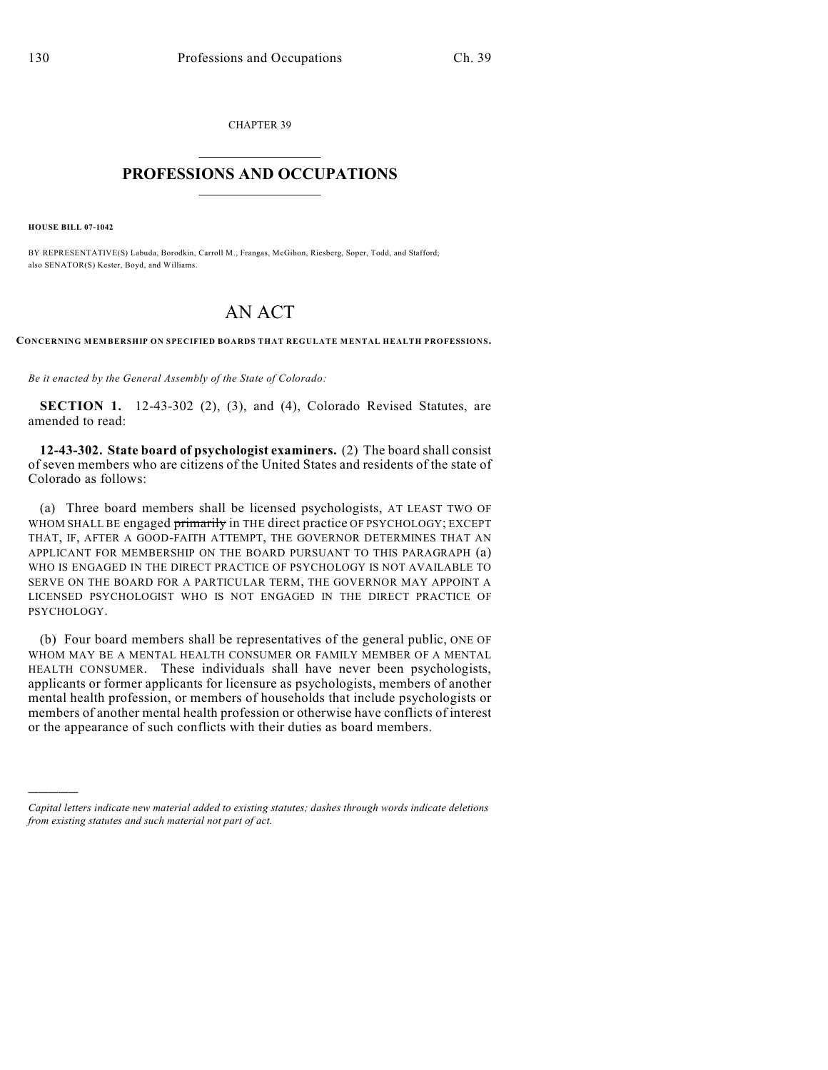CHAPTER 39  $\mathcal{L}_\text{max}$  . The set of the set of the set of the set of the set of the set of the set of the set of the set of the set of the set of the set of the set of the set of the set of the set of the set of the set of the set

## **PROFESSIONS AND OCCUPATIONS**  $\frac{1}{2}$  ,  $\frac{1}{2}$  ,  $\frac{1}{2}$  ,  $\frac{1}{2}$  ,  $\frac{1}{2}$  ,  $\frac{1}{2}$

**HOUSE BILL 07-1042**

)))))

BY REPRESENTATIVE(S) Labuda, Borodkin, Carroll M., Frangas, McGihon, Riesberg, Soper, Todd, and Stafford; also SENATOR(S) Kester, Boyd, and Williams.

## AN ACT

**CONCERNING MEMBERSHIP ON SPECIFIED BOARDS THAT REGULATE MENTAL HEALTH PROFESSIONS.**

*Be it enacted by the General Assembly of the State of Colorado:*

**SECTION 1.** 12-43-302 (2), (3), and (4), Colorado Revised Statutes, are amended to read:

**12-43-302. State board of psychologist examiners.** (2) The board shall consist of seven members who are citizens of the United States and residents of the state of Colorado as follows:

(a) Three board members shall be licensed psychologists, AT LEAST TWO OF WHOM SHALL BE engaged primarily in THE direct practice OF PSYCHOLOGY; EXCEPT THAT, IF, AFTER A GOOD-FAITH ATTEMPT, THE GOVERNOR DETERMINES THAT AN APPLICANT FOR MEMBERSHIP ON THE BOARD PURSUANT TO THIS PARAGRAPH (a) WHO IS ENGAGED IN THE DIRECT PRACTICE OF PSYCHOLOGY IS NOT AVAILABLE TO SERVE ON THE BOARD FOR A PARTICULAR TERM, THE GOVERNOR MAY APPOINT A LICENSED PSYCHOLOGIST WHO IS NOT ENGAGED IN THE DIRECT PRACTICE OF PSYCHOLOGY.

(b) Four board members shall be representatives of the general public, ONE OF WHOM MAY BE A MENTAL HEALTH CONSUMER OR FAMILY MEMBER OF A MENTAL HEALTH CONSUMER. These individuals shall have never been psychologists, applicants or former applicants for licensure as psychologists, members of another mental health profession, or members of households that include psychologists or members of another mental health profession or otherwise have conflicts of interest or the appearance of such conflicts with their duties as board members.

*Capital letters indicate new material added to existing statutes; dashes through words indicate deletions from existing statutes and such material not part of act.*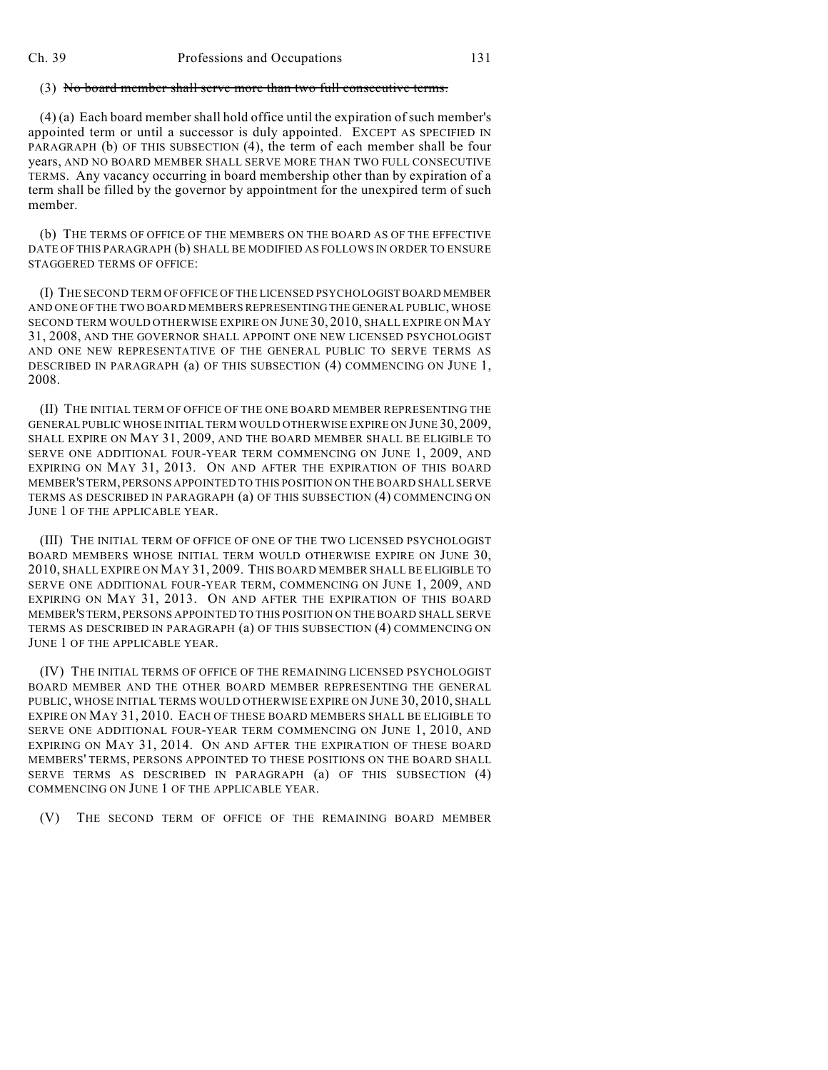## (3) No board member shall serve more than two full consecutive terms.

(4) (a) Each board member shall hold office until the expiration of such member's appointed term or until a successor is duly appointed. EXCEPT AS SPECIFIED IN PARAGRAPH (b) OF THIS SUBSECTION (4), the term of each member shall be four years, AND NO BOARD MEMBER SHALL SERVE MORE THAN TWO FULL CONSECUTIVE TERMS. Any vacancy occurring in board membership other than by expiration of a term shall be filled by the governor by appointment for the unexpired term of such member.

(b) THE TERMS OF OFFICE OF THE MEMBERS ON THE BOARD AS OF THE EFFECTIVE DATE OF THIS PARAGRAPH (b) SHALL BE MODIFIED AS FOLLOWS IN ORDER TO ENSURE STAGGERED TERMS OF OFFICE:

(I) THE SECOND TERM OF OFFICE OF THE LICENSED PSYCHOLOGIST BOARD MEMBER AND ONE OF THE TWO BOARD MEMBERS REPRESENTING THE GENERAL PUBLIC, WHOSE SECOND TERM WOULD OTHERWISE EXPIRE ON JUNE 30, 2010, SHALL EXPIRE ON MAY 31, 2008, AND THE GOVERNOR SHALL APPOINT ONE NEW LICENSED PSYCHOLOGIST AND ONE NEW REPRESENTATIVE OF THE GENERAL PUBLIC TO SERVE TERMS AS DESCRIBED IN PARAGRAPH (a) OF THIS SUBSECTION (4) COMMENCING ON JUNE 1, 2008.

(II) THE INITIAL TERM OF OFFICE OF THE ONE BOARD MEMBER REPRESENTING THE GENERAL PUBLIC WHOSE INITIAL TERM WOULD OTHERWISE EXPIRE ON JUNE 30, 2009, SHALL EXPIRE ON MAY 31, 2009, AND THE BOARD MEMBER SHALL BE ELIGIBLE TO SERVE ONE ADDITIONAL FOUR-YEAR TERM COMMENCING ON JUNE 1, 2009, AND EXPIRING ON MAY 31, 2013. ON AND AFTER THE EXPIRATION OF THIS BOARD MEMBER'S TERM, PERSONS APPOINTED TO THIS POSITION ON THE BOARD SHALL SERVE TERMS AS DESCRIBED IN PARAGRAPH (a) OF THIS SUBSECTION (4) COMMENCING ON JUNE 1 OF THE APPLICABLE YEAR.

(III) THE INITIAL TERM OF OFFICE OF ONE OF THE TWO LICENSED PSYCHOLOGIST BOARD MEMBERS WHOSE INITIAL TERM WOULD OTHERWISE EXPIRE ON JUNE 30, 2010, SHALL EXPIRE ON MAY 31, 2009. THIS BOARD MEMBER SHALL BE ELIGIBLE TO SERVE ONE ADDITIONAL FOUR-YEAR TERM, COMMENCING ON JUNE 1, 2009, AND EXPIRING ON MAY 31, 2013. ON AND AFTER THE EXPIRATION OF THIS BOARD MEMBER'S TERM, PERSONS APPOINTED TO THIS POSITION ON THE BOARD SHALL SERVE TERMS AS DESCRIBED IN PARAGRAPH (a) OF THIS SUBSECTION (4) COMMENCING ON JUNE 1 OF THE APPLICABLE YEAR.

(IV) THE INITIAL TERMS OF OFFICE OF THE REMAINING LICENSED PSYCHOLOGIST BOARD MEMBER AND THE OTHER BOARD MEMBER REPRESENTING THE GENERAL PUBLIC, WHOSE INITIAL TERMS WOULD OTHERWISE EXPIRE ON JUNE 30, 2010, SHALL EXPIRE ON MAY 31, 2010. EACH OF THESE BOARD MEMBERS SHALL BE ELIGIBLE TO SERVE ONE ADDITIONAL FOUR-YEAR TERM COMMENCING ON JUNE 1, 2010, AND EXPIRING ON MAY 31, 2014. ON AND AFTER THE EXPIRATION OF THESE BOARD MEMBERS' TERMS, PERSONS APPOINTED TO THESE POSITIONS ON THE BOARD SHALL SERVE TERMS AS DESCRIBED IN PARAGRAPH (a) OF THIS SUBSECTION (4) COMMENCING ON JUNE 1 OF THE APPLICABLE YEAR.

(V) THE SECOND TERM OF OFFICE OF THE REMAINING BOARD MEMBER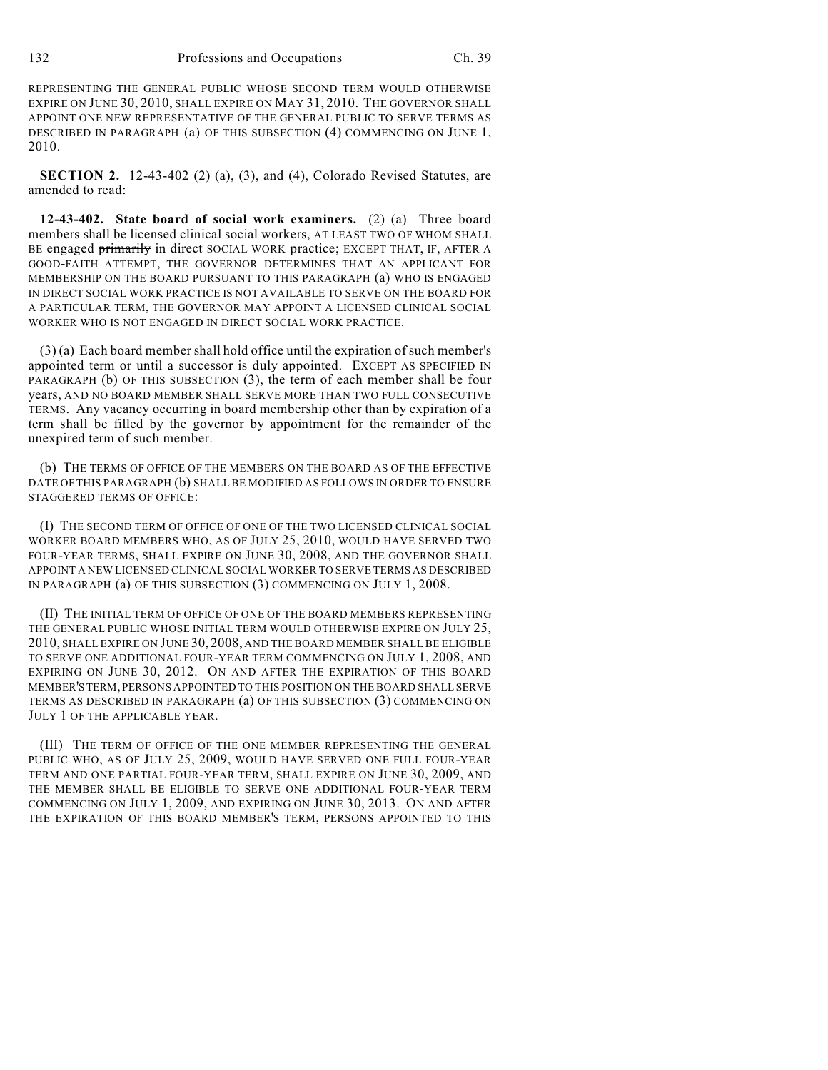REPRESENTING THE GENERAL PUBLIC WHOSE SECOND TERM WOULD OTHERWISE EXPIRE ON JUNE 30, 2010, SHALL EXPIRE ON MAY 31, 2010. THE GOVERNOR SHALL APPOINT ONE NEW REPRESENTATIVE OF THE GENERAL PUBLIC TO SERVE TERMS AS DESCRIBED IN PARAGRAPH (a) OF THIS SUBSECTION (4) COMMENCING ON JUNE 1, 2010.

**SECTION 2.** 12-43-402 (2) (a), (3), and (4), Colorado Revised Statutes, are amended to read:

**12-43-402. State board of social work examiners.** (2) (a) Three board members shall be licensed clinical social workers, AT LEAST TWO OF WHOM SHALL BE engaged primarily in direct SOCIAL WORK practice; EXCEPT THAT, IF, AFTER A GOOD-FAITH ATTEMPT, THE GOVERNOR DETERMINES THAT AN APPLICANT FOR MEMBERSHIP ON THE BOARD PURSUANT TO THIS PARAGRAPH (a) WHO IS ENGAGED IN DIRECT SOCIAL WORK PRACTICE IS NOT AVAILABLE TO SERVE ON THE BOARD FOR A PARTICULAR TERM, THE GOVERNOR MAY APPOINT A LICENSED CLINICAL SOCIAL WORKER WHO IS NOT ENGAGED IN DIRECT SOCIAL WORK PRACTICE.

(3) (a) Each board member shall hold office until the expiration of such member's appointed term or until a successor is duly appointed. EXCEPT AS SPECIFIED IN PARAGRAPH (b) OF THIS SUBSECTION (3), the term of each member shall be four years, AND NO BOARD MEMBER SHALL SERVE MORE THAN TWO FULL CONSECUTIVE TERMS. Any vacancy occurring in board membership other than by expiration of a term shall be filled by the governor by appointment for the remainder of the unexpired term of such member.

(b) THE TERMS OF OFFICE OF THE MEMBERS ON THE BOARD AS OF THE EFFECTIVE DATE OF THIS PARAGRAPH (b) SHALL BE MODIFIED AS FOLLOWS IN ORDER TO ENSURE STAGGERED TERMS OF OFFICE:

(I) THE SECOND TERM OF OFFICE OF ONE OF THE TWO LICENSED CLINICAL SOCIAL WORKER BOARD MEMBERS WHO, AS OF JULY 25, 2010, WOULD HAVE SERVED TWO FOUR-YEAR TERMS, SHALL EXPIRE ON JUNE 30, 2008, AND THE GOVERNOR SHALL APPOINT A NEW LICENSED CLINICAL SOCIAL WORKER TO SERVE TERMS AS DESCRIBED IN PARAGRAPH (a) OF THIS SUBSECTION (3) COMMENCING ON JULY 1, 2008.

(II) THE INITIAL TERM OF OFFICE OF ONE OF THE BOARD MEMBERS REPRESENTING THE GENERAL PUBLIC WHOSE INITIAL TERM WOULD OTHERWISE EXPIRE ON JULY 25, 2010, SHALL EXPIRE ON JUNE 30, 2008, AND THE BOARD MEMBER SHALL BE ELIGIBLE TO SERVE ONE ADDITIONAL FOUR-YEAR TERM COMMENCING ON JULY 1, 2008, AND EXPIRING ON JUNE 30, 2012. ON AND AFTER THE EXPIRATION OF THIS BOARD MEMBER'S TERM, PERSONS APPOINTED TO THIS POSITION ON THE BOARD SHALL SERVE TERMS AS DESCRIBED IN PARAGRAPH (a) OF THIS SUBSECTION (3) COMMENCING ON JULY 1 OF THE APPLICABLE YEAR.

(III) THE TERM OF OFFICE OF THE ONE MEMBER REPRESENTING THE GENERAL PUBLIC WHO, AS OF JULY 25, 2009, WOULD HAVE SERVED ONE FULL FOUR-YEAR TERM AND ONE PARTIAL FOUR-YEAR TERM, SHALL EXPIRE ON JUNE 30, 2009, AND THE MEMBER SHALL BE ELIGIBLE TO SERVE ONE ADDITIONAL FOUR-YEAR TERM COMMENCING ON JULY 1, 2009, AND EXPIRING ON JUNE 30, 2013. ON AND AFTER THE EXPIRATION OF THIS BOARD MEMBER'S TERM, PERSONS APPOINTED TO THIS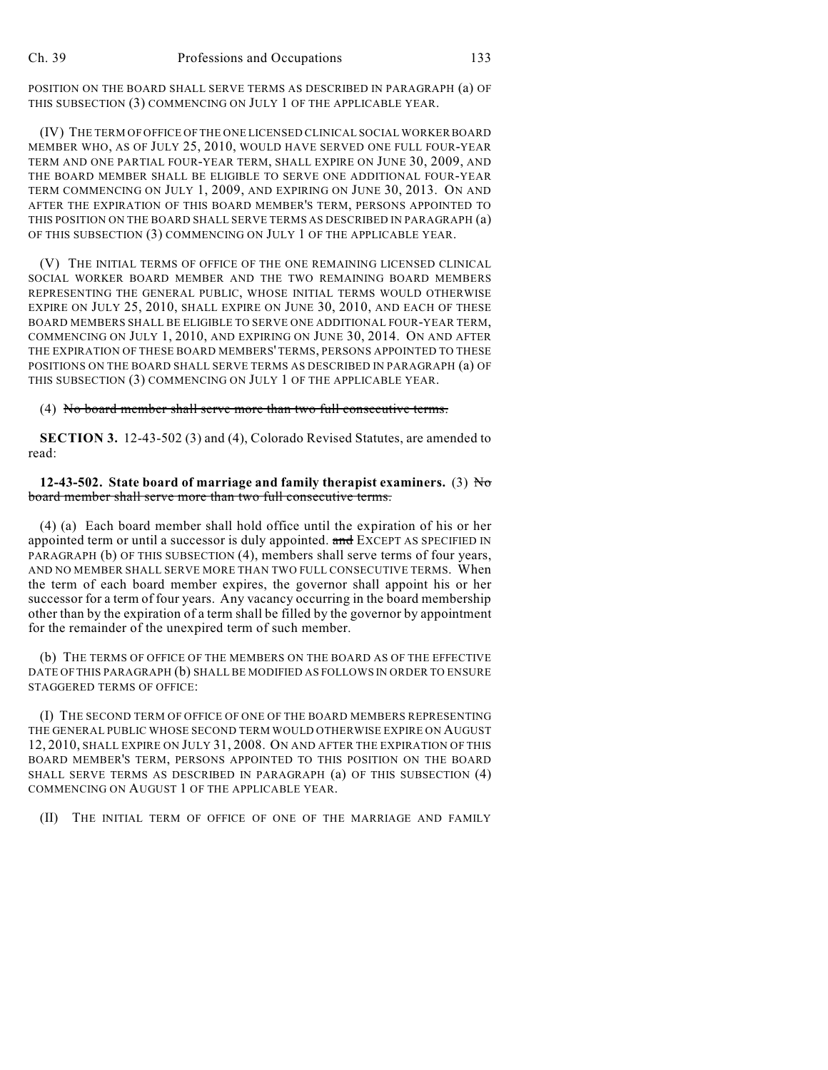POSITION ON THE BOARD SHALL SERVE TERMS AS DESCRIBED IN PARAGRAPH (a) OF THIS SUBSECTION (3) COMMENCING ON JULY 1 OF THE APPLICABLE YEAR.

(IV) THE TERM OF OFFICE OF THE ONE LICENSED CLINICAL SOCIAL WORKER BOARD MEMBER WHO, AS OF JULY 25, 2010, WOULD HAVE SERVED ONE FULL FOUR-YEAR TERM AND ONE PARTIAL FOUR-YEAR TERM, SHALL EXPIRE ON JUNE 30, 2009, AND THE BOARD MEMBER SHALL BE ELIGIBLE TO SERVE ONE ADDITIONAL FOUR-YEAR TERM COMMENCING ON JULY 1, 2009, AND EXPIRING ON JUNE 30, 2013. ON AND AFTER THE EXPIRATION OF THIS BOARD MEMBER'S TERM, PERSONS APPOINTED TO THIS POSITION ON THE BOARD SHALL SERVE TERMS AS DESCRIBED IN PARAGRAPH (a) OF THIS SUBSECTION (3) COMMENCING ON JULY 1 OF THE APPLICABLE YEAR.

(V) THE INITIAL TERMS OF OFFICE OF THE ONE REMAINING LICENSED CLINICAL SOCIAL WORKER BOARD MEMBER AND THE TWO REMAINING BOARD MEMBERS REPRESENTING THE GENERAL PUBLIC, WHOSE INITIAL TERMS WOULD OTHERWISE EXPIRE ON JULY 25, 2010, SHALL EXPIRE ON JUNE 30, 2010, AND EACH OF THESE BOARD MEMBERS SHALL BE ELIGIBLE TO SERVE ONE ADDITIONAL FOUR-YEAR TERM, COMMENCING ON JULY 1, 2010, AND EXPIRING ON JUNE 30, 2014. ON AND AFTER THE EXPIRATION OF THESE BOARD MEMBERS' TERMS, PERSONS APPOINTED TO THESE POSITIONS ON THE BOARD SHALL SERVE TERMS AS DESCRIBED IN PARAGRAPH (a) OF THIS SUBSECTION (3) COMMENCING ON JULY 1 OF THE APPLICABLE YEAR.

(4) No board member shall serve more than two full consecutive terms.

**SECTION 3.** 12-43-502 (3) and (4), Colorado Revised Statutes, are amended to read:

**12-43-502. State board of marriage and family therapist examiners.** (3) No board member shall serve more than two full consecutive terms.

(4) (a) Each board member shall hold office until the expiration of his or her appointed term or until a successor is duly appointed. and EXCEPT AS SPECIFIED IN PARAGRAPH (b) OF THIS SUBSECTION (4), members shall serve terms of four years, AND NO MEMBER SHALL SERVE MORE THAN TWO FULL CONSECUTIVE TERMS. When the term of each board member expires, the governor shall appoint his or her successor for a term of four years. Any vacancy occurring in the board membership other than by the expiration of a term shall be filled by the governor by appointment for the remainder of the unexpired term of such member.

(b) THE TERMS OF OFFICE OF THE MEMBERS ON THE BOARD AS OF THE EFFECTIVE DATE OF THIS PARAGRAPH (b) SHALL BE MODIFIED AS FOLLOWS IN ORDER TO ENSURE STAGGERED TERMS OF OFFICE:

(I) THE SECOND TERM OF OFFICE OF ONE OF THE BOARD MEMBERS REPRESENTING THE GENERAL PUBLIC WHOSE SECOND TERM WOULD OTHERWISE EXPIRE ON AUGUST 12, 2010, SHALL EXPIRE ON JULY 31, 2008. ON AND AFTER THE EXPIRATION OF THIS BOARD MEMBER'S TERM, PERSONS APPOINTED TO THIS POSITION ON THE BOARD SHALL SERVE TERMS AS DESCRIBED IN PARAGRAPH (a) OF THIS SUBSECTION (4) COMMENCING ON AUGUST 1 OF THE APPLICABLE YEAR.

(II) THE INITIAL TERM OF OFFICE OF ONE OF THE MARRIAGE AND FAMILY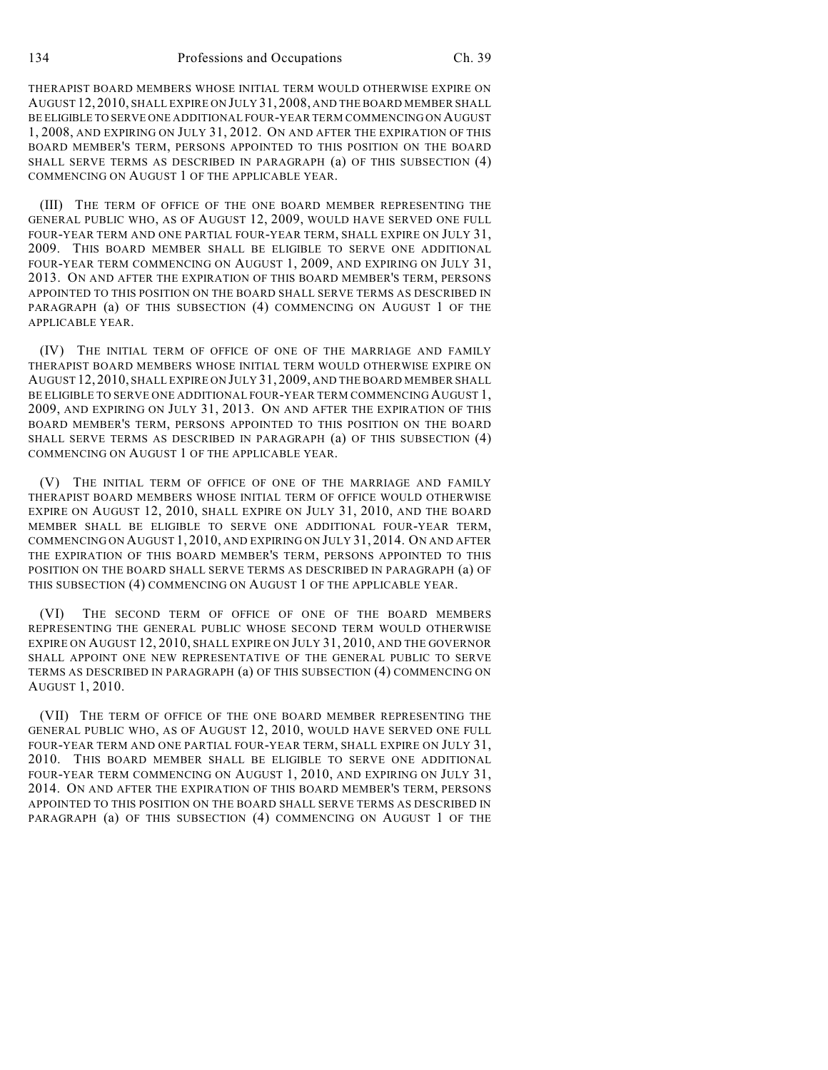134 Professions and Occupations Ch. 39

THERAPIST BOARD MEMBERS WHOSE INITIAL TERM WOULD OTHERWISE EXPIRE ON AUGUST 12, 2010, SHALL EXPIRE ON JULY 31, 2008, AND THE BOARD MEMBER SHALL BE ELIGIBLE TO SERVE ONE ADDITIONAL FOUR-YEAR TERM COMMENCING ON AUGUST 1, 2008, AND EXPIRING ON JULY 31, 2012. ON AND AFTER THE EXPIRATION OF THIS BOARD MEMBER'S TERM, PERSONS APPOINTED TO THIS POSITION ON THE BOARD SHALL SERVE TERMS AS DESCRIBED IN PARAGRAPH (a) OF THIS SUBSECTION (4) COMMENCING ON AUGUST 1 OF THE APPLICABLE YEAR.

(III) THE TERM OF OFFICE OF THE ONE BOARD MEMBER REPRESENTING THE GENERAL PUBLIC WHO, AS OF AUGUST 12, 2009, WOULD HAVE SERVED ONE FULL FOUR-YEAR TERM AND ONE PARTIAL FOUR-YEAR TERM, SHALL EXPIRE ON JULY 31, 2009. THIS BOARD MEMBER SHALL BE ELIGIBLE TO SERVE ONE ADDITIONAL FOUR-YEAR TERM COMMENCING ON AUGUST 1, 2009, AND EXPIRING ON JULY 31, 2013. ON AND AFTER THE EXPIRATION OF THIS BOARD MEMBER'S TERM, PERSONS APPOINTED TO THIS POSITION ON THE BOARD SHALL SERVE TERMS AS DESCRIBED IN PARAGRAPH (a) OF THIS SUBSECTION (4) COMMENCING ON AUGUST 1 OF THE APPLICABLE YEAR.

(IV) THE INITIAL TERM OF OFFICE OF ONE OF THE MARRIAGE AND FAMILY THERAPIST BOARD MEMBERS WHOSE INITIAL TERM WOULD OTHERWISE EXPIRE ON AUGUST 12, 2010, SHALL EXPIRE ON JULY 31, 2009, AND THE BOARD MEMBER SHALL BE ELIGIBLE TO SERVE ONE ADDITIONAL FOUR-YEAR TERM COMMENCING AUGUST 1, 2009, AND EXPIRING ON JULY 31, 2013. ON AND AFTER THE EXPIRATION OF THIS BOARD MEMBER'S TERM, PERSONS APPOINTED TO THIS POSITION ON THE BOARD SHALL SERVE TERMS AS DESCRIBED IN PARAGRAPH (a) OF THIS SUBSECTION (4) COMMENCING ON AUGUST 1 OF THE APPLICABLE YEAR.

(V) THE INITIAL TERM OF OFFICE OF ONE OF THE MARRIAGE AND FAMILY THERAPIST BOARD MEMBERS WHOSE INITIAL TERM OF OFFICE WOULD OTHERWISE EXPIRE ON AUGUST 12, 2010, SHALL EXPIRE ON JULY 31, 2010, AND THE BOARD MEMBER SHALL BE ELIGIBLE TO SERVE ONE ADDITIONAL FOUR-YEAR TERM, COMMENCING ON AUGUST 1, 2010, AND EXPIRING ON JULY 31, 2014. ON AND AFTER THE EXPIRATION OF THIS BOARD MEMBER'S TERM, PERSONS APPOINTED TO THIS POSITION ON THE BOARD SHALL SERVE TERMS AS DESCRIBED IN PARAGRAPH (a) OF THIS SUBSECTION (4) COMMENCING ON AUGUST 1 OF THE APPLICABLE YEAR.

(VI) THE SECOND TERM OF OFFICE OF ONE OF THE BOARD MEMBERS REPRESENTING THE GENERAL PUBLIC WHOSE SECOND TERM WOULD OTHERWISE EXPIRE ON AUGUST 12, 2010, SHALL EXPIRE ON JULY 31, 2010, AND THE GOVERNOR SHALL APPOINT ONE NEW REPRESENTATIVE OF THE GENERAL PUBLIC TO SERVE TERMS AS DESCRIBED IN PARAGRAPH (a) OF THIS SUBSECTION (4) COMMENCING ON AUGUST 1, 2010.

(VII) THE TERM OF OFFICE OF THE ONE BOARD MEMBER REPRESENTING THE GENERAL PUBLIC WHO, AS OF AUGUST 12, 2010, WOULD HAVE SERVED ONE FULL FOUR-YEAR TERM AND ONE PARTIAL FOUR-YEAR TERM, SHALL EXPIRE ON JULY 31, 2010. THIS BOARD MEMBER SHALL BE ELIGIBLE TO SERVE ONE ADDITIONAL FOUR-YEAR TERM COMMENCING ON AUGUST 1, 2010, AND EXPIRING ON JULY 31, 2014. ON AND AFTER THE EXPIRATION OF THIS BOARD MEMBER'S TERM, PERSONS APPOINTED TO THIS POSITION ON THE BOARD SHALL SERVE TERMS AS DESCRIBED IN PARAGRAPH (a) OF THIS SUBSECTION (4) COMMENCING ON AUGUST 1 OF THE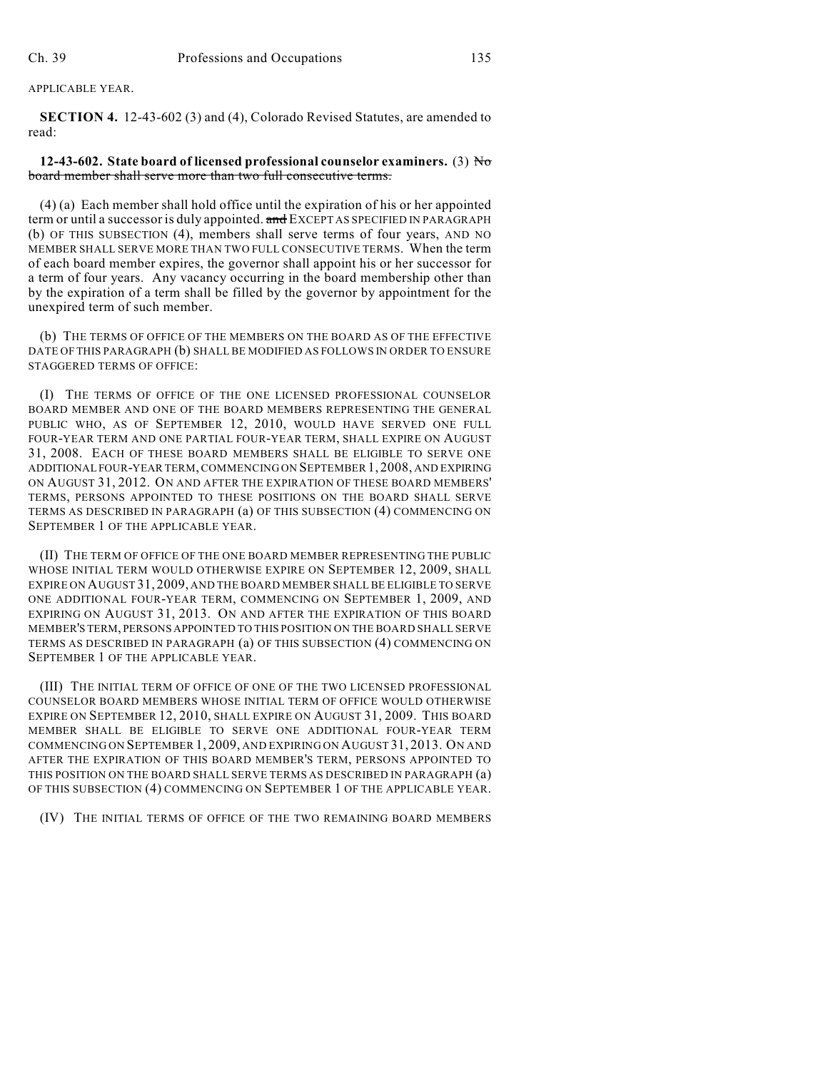APPLICABLE YEAR.

**SECTION 4.** 12-43-602 (3) and (4), Colorado Revised Statutes, are amended to read:

## **12-43-602.** State board of licensed professional counselor examiners. (3)  $\overline{N\sigma}$ board member shall serve more than two full consecutive terms.

(4) (a) Each member shall hold office until the expiration of his or her appointed term or until a successor is duly appointed. and EXCEPT AS SPECIFIED IN PARAGRAPH (b) OF THIS SUBSECTION (4), members shall serve terms of four years, AND NO MEMBER SHALL SERVE MORE THAN TWO FULL CONSECUTIVE TERMS. When the term of each board member expires, the governor shall appoint his or her successor for a term of four years. Any vacancy occurring in the board membership other than by the expiration of a term shall be filled by the governor by appointment for the unexpired term of such member.

(b) THE TERMS OF OFFICE OF THE MEMBERS ON THE BOARD AS OF THE EFFECTIVE DATE OF THIS PARAGRAPH (b) SHALL BE MODIFIED AS FOLLOWS IN ORDER TO ENSURE STAGGERED TERMS OF OFFICE:

(I) THE TERMS OF OFFICE OF THE ONE LICENSED PROFESSIONAL COUNSELOR BOARD MEMBER AND ONE OF THE BOARD MEMBERS REPRESENTING THE GENERAL PUBLIC WHO, AS OF SEPTEMBER 12, 2010, WOULD HAVE SERVED ONE FULL FOUR-YEAR TERM AND ONE PARTIAL FOUR-YEAR TERM, SHALL EXPIRE ON AUGUST 31, 2008. EACH OF THESE BOARD MEMBERS SHALL BE ELIGIBLE TO SERVE ONE ADDITIONAL FOUR-YEAR TERM, COMMENCING ON SEPTEMBER 1, 2008, AND EXPIRING ON AUGUST 31, 2012. ON AND AFTER THE EXPIRATION OF THESE BOARD MEMBERS' TERMS, PERSONS APPOINTED TO THESE POSITIONS ON THE BOARD SHALL SERVE TERMS AS DESCRIBED IN PARAGRAPH (a) OF THIS SUBSECTION (4) COMMENCING ON SEPTEMBER 1 OF THE APPLICABLE YEAR.

(II) THE TERM OF OFFICE OF THE ONE BOARD MEMBER REPRESENTING THE PUBLIC WHOSE INITIAL TERM WOULD OTHERWISE EXPIRE ON SEPTEMBER 12, 2009, SHALL EXPIRE ON AUGUST 31, 2009, AND THE BOARD MEMBER SHALL BE ELIGIBLE TO SERVE ONE ADDITIONAL FOUR-YEAR TERM, COMMENCING ON SEPTEMBER 1, 2009, AND EXPIRING ON AUGUST 31, 2013. ON AND AFTER THE EXPIRATION OF THIS BOARD MEMBER'S TERM, PERSONS APPOINTED TO THIS POSITION ON THE BOARD SHALL SERVE TERMS AS DESCRIBED IN PARAGRAPH (a) OF THIS SUBSECTION (4) COMMENCING ON SEPTEMBER 1 OF THE APPLICABLE YEAR.

(III) THE INITIAL TERM OF OFFICE OF ONE OF THE TWO LICENSED PROFESSIONAL COUNSELOR BOARD MEMBERS WHOSE INITIAL TERM OF OFFICE WOULD OTHERWISE EXPIRE ON SEPTEMBER 12, 2010, SHALL EXPIRE ON AUGUST 31, 2009. THIS BOARD MEMBER SHALL BE ELIGIBLE TO SERVE ONE ADDITIONAL FOUR-YEAR TERM COMMENCING ON SEPTEMBER 1, 2009, AND EXPIRING ON AUGUST 31, 2013. ON AND AFTER THE EXPIRATION OF THIS BOARD MEMBER'S TERM, PERSONS APPOINTED TO THIS POSITION ON THE BOARD SHALL SERVE TERMS AS DESCRIBED IN PARAGRAPH (a) OF THIS SUBSECTION (4) COMMENCING ON SEPTEMBER 1 OF THE APPLICABLE YEAR.

(IV) THE INITIAL TERMS OF OFFICE OF THE TWO REMAINING BOARD MEMBERS